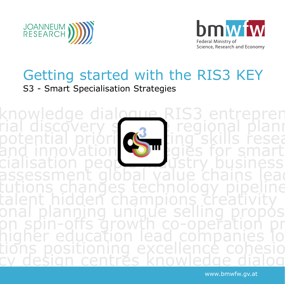



## Getting started with the RIS3 KEY S3 - Smart Specialisation Strategies

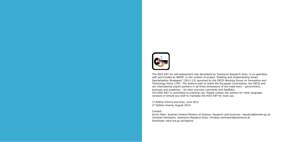

The RIS3 KEY for self-assessment was developed by Joanneum Research Graz, in co-operation with and funded by BMWF, in the context of project "Drafting and Implementing Smart Specialisation Strategies" (2011-12) launched by the OECD Working Group on Innovation and Technology Policy (TIP). The authors wish to thank the European Commission, the OECD and our international expert partners in all three dimensions of the triple helix – government, business and academia – for their precious comments and feedback. The RIS3 KEY is committed to practical use. Please contact the authors for other language versions or should you wish to translate the RIS3 KEY for local use.

1st Edition Vienna and Graz, June 2012 2<sup>nd</sup> Edition Vienna, August 2014

#### Contact:

Armin Mahr, Austrian Federal Ministry of Science, Research and Economy: standort@bmwfw.gv.at Christian Hartmann, Joanneum Research Graz: christian.hartmann@joanneum.at Download: www.era.gv.at/regions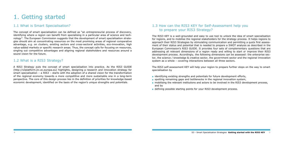### 1.3 How can the RIS3 KEY for Self-Assessment help you to prepare your RIS3 Strategy?

The RIS3 KEY is a well-grounded and easy to use tool to unlock the idea of smart specialisation for regions, and to mobilise the regional stakeholders for the strategy process. It helps regions to approach their RIS3 Strategies by stimulating communication and permitting a quick first assessment of their status and potential that is needed to prepare a SWOT analysis as described in the European Commission's RIS3 GUIDE. It provides four sets of complementary questions that are addressing all relevant dimensions of a region ready and willing to start or improve their RIS3 development process. Accordingly, the following dimensions can be assessed: the enterprise sector, the science / knowledge & creative sector, the government sector and the regional innovation system as a whole – covering interactions between all three sectors.

- identifying existing strengths and potentials for future development efforts,
- spotting remaining gaps and bottlenecks in the regional innovation system,
- mobilising the relevant institutions and actors to be involved in the RIS3 development process, and by
- defining possible starting points for your RIS3 development process.

The RIS3 self-assessment KEY will help your region to prepare further steps on the way to smart specialisation by

# 1. Getting started

### 1.1 What is Smart Specialisation?

The concept of smart specialisation can be defined as "an entrepreneurial process of discovery, identifying where a region can benefit from specialising in a particular area of science and technology". The European Commission suggests that the development of smart specialisation strategies should aim at concentrating resources on the most promising areas of regional comparative advantage, e.g. on clusters, existing sectors and cross-sectoral activities, eco-innovation, high value-added markets or specific research areas. Thus, the concept calls for focusing on resources, singling out competitive advantages and aligning regional stakeholders and resources around a sound vision for the future.

### 1.2 What is a RIS3 Strategy?

A RIS3 Strategy puts the concept of smart specialisation into practice. As the RIS3 GUIDE (http://s3platform.jrc.ec.europa.eu) highlights, designing a research and innovation strategy for smart specialisation – a RIS3 – starts with the adoption of a shared vision for the transformation of the regional economy towards a more competitive and more sustainable one in a long-term perspective. The core of this design process lies in the definition of priorities for knowledge-based economic development, identified on the basis of the region's unique strengths and potentials.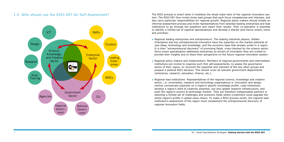1.4 Who should use the RIS3 KEY for Self-Assessment? The RIS3 process is smart when it mobilises the whole triple helix of the regional innovation system. The RIS3 KEY thus invites three lead groups that each focus competences and interests, and also carry particular responsibilities for regional growth. Regional policy makers should initiate an informal assessment process and invite representatives from selected leading enterprises and lead institutions to go through the questions and report their results. Their co-operation is essential to identify a limited set of regional specialisations and develop a shared (and hence smart) vision and priorities:

- Regional leading enterprises and entrepreneurs: The leading industrial players, Hidden Champions and key entrepreneurial innovators have the expertise on the market potential of new ideas, technology and knowledge, and the economic base that already exists in a region. It is their "entrepreneurial discovery" of promising fields, cross-checked by the science sector. Since smart specialisation addresses enterprises as drivers of innovation they are invited to provide their insights and to share their perspective on the future regional innovation system.
- Regional policy makers and implementers: Members of regional governments and intermediary institutions are invited to organise such first self-assessments, to assess the governance sector of their region, to reconcile the expertise and interests of the two other groups and prepare a political RIS3 decision. This should cover all relevant government departments (enterprise, research, education, finance, etc.).
- Regional lead institutions: Representatives of the regional science, knowledge and creative sector, i.e. universities, research and technology organisations or innovation and design centres concentrate expertise on a region's specific knowledge profile. Lead institutions develop a region's skills & creativity potential, use and update research infrastructure, and push the region's science & technology frontier. They are therefore indispensable partners in selecting a limited set of challenges and economic fields where investment could upgrade the whole region's profile in global value chains. To make a RIS3 process smart, the regional lead institution's assessment of the region must complement the entrepreneurial discovery of regional innovation fields.

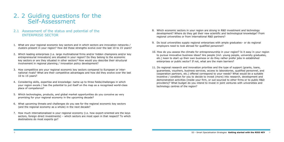#### 2.1 Assessment of the status and potential of the ENTERPRISE SECTOR

- 1. What are your regional economic key sectors and in which sectors are innovation networks / clusters present in your region? How did these strengths evolve over the last 10 to 15 years?
- 2. Which leading enterprises (i.e. large multinational firms and/or hidden champions and/or key entrepreneurial innovators) are situated in your region? Do they belong to the economic key sectors or are they situated in other sectors? How would you describe their structural involvement in regional planning / innovation policy development?
- 3. How competitive are your regional economic key sectors compared to European or international rivals? What are their competitive advantages and how did they evolve over the last 10 to 15 years?
- 4. Considering skills, expertise and knowledge: name up to three fields/challenges in which your region excels / has the potential to put itself on the map as a recognised world-class place of competence?
- 5. Which technologies, products, and global market opportunities do you conceive as very promising for your regional economy in the upcoming decade?
- 6. What upcoming threats and challenges do you see for the regional economic key sectors (and the regional economy as a whole) in the next decade?
- 7. How much internationalised is your regional economy (i.e. how export-oriented are the keys sectors, foreign direct investments) – which sectors are most open in that respect? To which destinations do most exports go?

### 2. 2 Guiding questions for the Self-Assessment

- 8. Which economic sectors in your region are strong in R&D investment and technology development? Where do they get their new scientific and technological knowledge? From regional universities or from international R&D partners?
- 9. Do local universities supply regional enterprises with ample graduates– or do regional employers need to look abroad for qualified personnel?
- 10. How do you assess the climate for entrepreneurship in your region? Is it easy in your region to pursue innovative business ideas? Are people (incl. young people, university graduates, etc.) keen to start up their own business or do they rather prefer jobs in established enterprises or public sector? If not, what are the main barriers?
- 11. Do regional research and innovation priorities and the type of support (grants, loans, guarantees, vouchers, business services, access to laboratories, qualified personnel, and cooperation partners, etc.) offered correspond to your needs? What would be a suitable incentive / condition for you to decide to invest (more) into research, development and demonstration activities (inside your firm, or out-sourced to other firms or to public R&D providers)? What budget do you intend to invest in joint ventures with universities and technology centres of the region?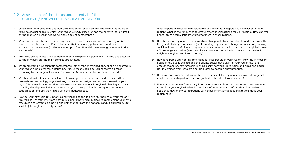### 2.2 Assessment of the status and potential of the SCIENCE / KNOWLEDGE & CREATIVE SECTOR

- 1. Considering both academic and non-academic skills, expertise and knowledge, name up to three fields/challenges in which your region already excels or has the potential to put itself on the map as a recognised world-class place of competence?
- 2. What are the specific scientific strengths and research specialisations in your region (i.e. in which science fields are R&D investments, R&D personnel, publications, and patent applications concentrated)? Please name up to five. How did these strengths evolve in the last decade?
- 3. Are these scientific activities competitive on a European or global level? Where are potential partners, where are the main competitors located?
- 4. Which emerging new scientific competences (other than mentioned above) can be spotted in your region? Which research issues and future technologies do you conceive as most promising for the regional science / knowledge & creative sector in the next decade?
- 5. Which lead institutions in the science / knowledge and creative sector (i.e. universities, research and technology organisations, innovation & design centres) are situated in your region? How would you describe their structural involvement in regional planning / innovati on policy development? How do their strengths correspond with the regional economic specialisation and are they linked with the industrial base?
- 6. How do your strategic R&D priorities correspond to the top priority themes of your region? Are regional investments from both public and private side in place to complement your own resources and attract co-funding and risk-sharing from the national (and, if applicable, EU) level in joint regional priority areas?

- 7. What important research infrastructures and creativity hotspots are established in your region? What is their influence to create smart specialisations for your region? How can you benefit from nearby infrastructures/hotspots in other regions?
- 8. How fit is your regional science/smart/creativity/skills base potential to address conjointly the grand challenges of society (health and ageing, climate change, urbanisation, energy, social inclusion etc)? How do regional lead institutions position themselves in global chains of knowledge and value (are they closely connected with institutions and companies in neighbour regions and internationally)?
- 9. How favourable are working conditions for researchers in your region? How much mobility between the public science and the private sector does exist in your region (i.e. are graduates/engineers/professors moving easily between universities and firms and back)? Do universities train scholars and graduates to become entrepreneurs?
- 10. Does current academic education fit to the needs of the regional economy do regional employers absorb graduates or are graduates forced to look elsewhere?
- 11. How many permanent/temporary international research fellows, professors, and students do work in your region? What is the share of international staff in scientific/creative positions? How many co-operations with other international lead institutions does your region have?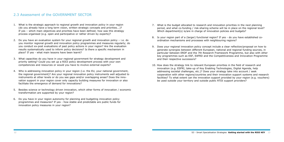### 2.3 Assessment of the GOVERNMENT SECTOR

- 1. What is the strategic approach to regional growth and innovation policy in your region (do you already have a long term vision, written strategic concepts and priorities...)? If yes – which main objectives and priorities have been defined; how was this strategy process organised (e.g. open and participative or rather driven by experts)?
- 2. Do you have an evaluation system for your regional growth and innovation policy i.e. do you monitor regional growth and innovation policy programmes and measures regularly; do you conduct ex-post evaluations of past policy actions in your region? Are the evaluation results systematically used to inform policy decisions? Is there a specific mechanism in place? If yes - what main lessons have been learnt?
- 3. What capacities do you have in your regional government for strategy development and priority setting? Could you set up a RIS3 policy development process with your own competencies and resources or would you have to involve external experts?
- 4. Who is addressing innovation policy in your region (i.e. the EU, your national government, the regional government)? Are your regional innovation policy instruments well adjusted to instruments at other levels or do you see gaps and/or overlapping areas? Does the innovation support in your region cover only capacity building measures for innovation or also facilitate the emergence of demand for innovations?
- 5. Besides science or technology driven innovation, which other forms of innovation / economic transformation are supported by your region?
- 6. Do you have in your region autonomy for planning and budgeting innovation policy programmes and measures? If yes - how stable and predictable are public funds for innovation policy measures in your region?

- 7. What is the budget allocated to research and innovation priorities in the next planning period, and what co-funding / risk-sharing scheme will be in place on the regional level? Which department(s) is/are in charge of innovation policies and budgets?
- 8. Is your region part of a (larger) functional region? If yes do you have established coordination mechanisms and processes with neighbouring regions?
- 9. Does your regional innovation policy concept include a clear reflection/proposal on how to generate synergies between different European, national and regional funding sources, in particular between ERDF and the 7th Research Framework Programme, but also with other key programmes such as ESF, EAFRD and the Competitiveness and Innovation Programme and their respective successors?
- 10. How does the strategy link to relevant European priorities in the field of research and innovation (e.g. ESFRI, take-up of Key Enabling Technologies, Digital Agenda, help addressing societal challenges, etc.)? Does your strategy take into account / seek cooperation with other regions/countries and their innovation support systems and research facilities? To what extent can the innovation support provided by your region (e.g. vouchers) be used outside your territory and outside public RTDI support providers?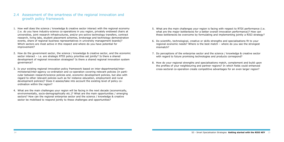#### 2.4 Assessment of the smartness of the regional innovation and growth policy framework

- 1. How well does the science / knowledge & creative sector interact with the regional economy (i.e. do you have industry-science co-operations in you region, privately endowed chairs at universities, joint research infrastructures, and/or pro-active technology transfers, contract research, living labs, student placement schemes, brokerage and technology demonstration events, share of regional business representatives in university management boards)? Which sectors are most active in this respect and where do you have potential for improvement?
- 2. How do the government sector, the science / knowledge & creative sector, and the economic sector interact – i.e. are strategic RTDI policy priorities set jointly? Is there a shared development of regional innovation strategies? Is there a shared regional innovation system governance?
- 3. Is your existing regional innovation policy framework based on inter-departmental/interministerial/inter-agency co-ordination and co-operation covering relevant policies (in particular between research/science policies and, economic development policies, but also with regard to other relevant policies such as for instance education, employment and rural development policies)? Does it assess/take into account the existing level of policy coordination within the region?
- 4. What are the main challenges your region will be facing in the next decade (economically, environmentally, socio-demographically etc.)? What are the main opportunities / emerging sectors? How can the regional enterprise sector and the science / knowledge & creative sector be mobilised to respond jointly to these challenges and opportunities?

- 5. What are the main challenges your region is facing with respect to RTDI performance (i.e. what are the major bottlenecks for a better overall innovation performance)? How can these bottlenecks be overcome by formulating and implementing jointly a RIS3 strategy?
- 6. Do scientific, technological, creative or skills strengths and specialisations fit to your regional economic needs? Where is the best match – where do you see the strongest mismatch?
- 7. Do perceptions of the enterprise sector and the science / knowledge & creative sector with regard to future promising technologies and products correspond?
- 8. How do your regional strengths and specialisations match, complement and build upon the profiles of your neighbouring and partner regions? In which fields could enhanced cross-sectoral co-operation create competitive advantages for an even larger region?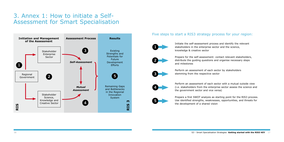## 3. Annex 1: How to initiate a Self-Assessment for Smart Specialisation

### Five steps to start a RIS3 strategy process for your region:





3





Initiate the self-assessment process and identify the relevant stakeholders in the enterprise sector and the science, knowledge & creative sector



Prepare for the self-assessment: contact relevant stakeholders, distribute the guiding questions and organise necessary steps and milestones

Perform an assessment of each sector by stakeholders stemming from the respective sector

Perform an assessment of each sector with a mutual outside view (i.e. stakeholders from the enterprise sector assess the science and the government sector and vice versa)

Prepare a first SWOT analysis as starting point for the RIS3 process. Use identified strengths, weaknesses, opportunities, and threats for the development of a shared vision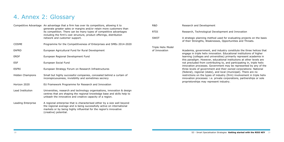|                    | Competitive Advantage An advantage that a firm has over its competitors, allowing it to<br>generate greater sales or margins and/or retain more customers than | R&D                | Research and Development                                                                                                                                                              |
|--------------------|----------------------------------------------------------------------------------------------------------------------------------------------------------------|--------------------|---------------------------------------------------------------------------------------------------------------------------------------------------------------------------------------|
|                    | its competition. There can be many types of competitive advantages<br>including the firm's cost structure, product offerings, distribution                     | <b>RTDI</b>        | Research, Technological De                                                                                                                                                            |
|                    | network and customer support.                                                                                                                                  | SWOT               | A strategic planning method<br>of their Strengths, Weaknes                                                                                                                            |
| COSME              | Programme for the Competitiveness of Enterprises and SMEs 2014-2020                                                                                            |                    |                                                                                                                                                                                       |
|                    |                                                                                                                                                                | Triple Helix Model |                                                                                                                                                                                       |
| <b>EAFRD</b>       | European Agricultural Fund for Rural Development                                                                                                               | of Innovation      | Academia, government, and                                                                                                                                                             |
| <b>ERDF</b>        | European Regional Development Fund                                                                                                                             |                    | engage in triple helix innov<br>learning (colleges and unive<br>this paradigm. However, ed<br>not precluded from contribu<br>innovation processes. Gove<br>three levels of government |
| <b>ESF</b>         | European Social Fund                                                                                                                                           |                    |                                                                                                                                                                                       |
| <b>ESFRI</b>       | European Strategy Forum on Research Infrastructures                                                                                                            |                    |                                                                                                                                                                                       |
| Hidden Champions   | Small but highly successful companies, concealed behind a curtain of                                                                                           |                    | (federal), regional (state), a<br>restrictions on the types of                                                                                                                        |
|                    | inconspicuousness, invisibility and sometimes secrecy                                                                                                          |                    | innovation processes: i.e. p                                                                                                                                                          |
| Horizon 2020       | EU Framework Programme for Research and Innovation                                                                                                             |                    | proprietorships may represe                                                                                                                                                           |
| Lead Institution   | Universities, research and technology organisations, innovation & design<br>centres that are shaping the regional knowledge base and skills help to            |                    |                                                                                                                                                                                       |
|                    | unleash the innovative and creative capacity of a region.                                                                                                      |                    |                                                                                                                                                                                       |
| Leading Enterprise | A regional enterprise that is characterised either by a size well beyond                                                                                       |                    |                                                                                                                                                                                       |
|                    | the regional average and is being successfully active on international                                                                                         |                    |                                                                                                                                                                                       |
|                    | markets or by being highly influential for the region's innovative<br>(creative) potential.                                                                    |                    |                                                                                                                                                                                       |

## 4. Annex 2: Glossary

evelopment and Innovation

od used for evaluating projects on the basis esses, Opportunities and Threats.

of industry constitute the three helices that vation. Educational institutions of higher versities) primarily represent academia in ducational institutions at other levels are uting to, and participating in, triple helix ernment may be represented by any of the and their owned corporations: National and local (municipal). There are no f industry (firm) involvement in triple helix private corporations, partnerships or sole sent industry.